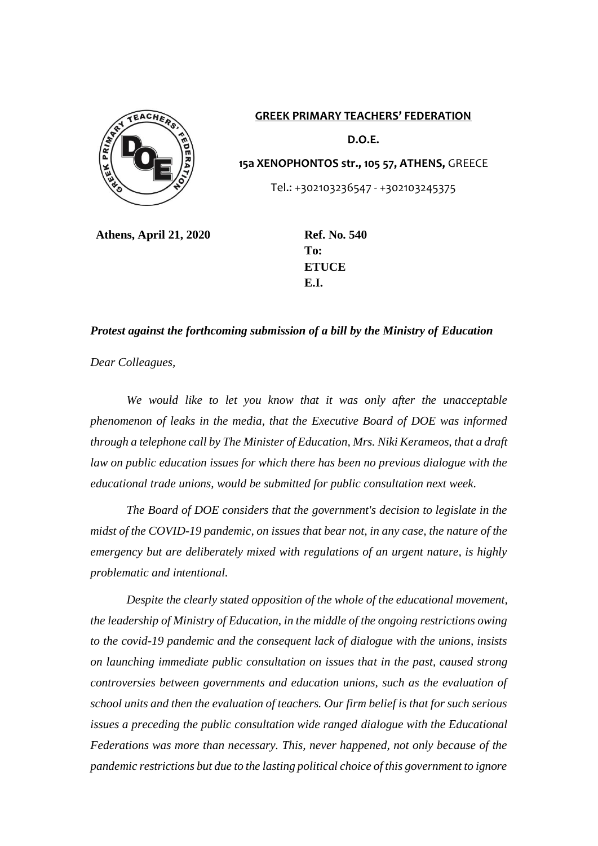

**GREEK PRIMARY TEACHERS' FEDERATION D.O.E. 15a XENOPHONTOS str., 105 57, ATHENS,** GREECE Tel.: +302103236547 - +302103245375

**Athens, April 21, 2020 Ref. No. 540**

**To: ETUCE E.I.**

## *Protest against the forthcoming submission of a bill by the Ministry of Education*

*Dear Colleagues,*

*We would like to let you know that it was only after the unacceptable phenomenon of leaks in the media, that the Executive Board of DOE was informed through a telephone call by The Minister of Education, Mrs. Niki Kerameos, that a draft law on public education issues for which there has been no previous dialogue with the educational trade unions, would be submitted for public consultation next week.* 

*The Board of DOE considers that the government's decision to legislate in the midst of the COVID-19 pandemic, on issues that bear not, in any case, the nature of the emergency but are deliberately mixed with regulations of an urgent nature, is highly problematic and intentional.*

*Despite the clearly stated opposition of the whole of the educational movement, the leadership of Ministry of Education, in the middle of the ongoing restrictions owing to the covid-19 pandemic and the consequent lack of dialogue with the unions, insists on launching immediate public consultation on issues that in the past, caused strong controversies between governments and education unions, such as the evaluation of school units and then the evaluation of teachers. Our firm belief is that for such serious issues a preceding the public consultation wide ranged dialogue with the Educational Federations was more than necessary. This, never happened, not only because of the pandemic restrictions but due to the lasting political choice of this government to ignore*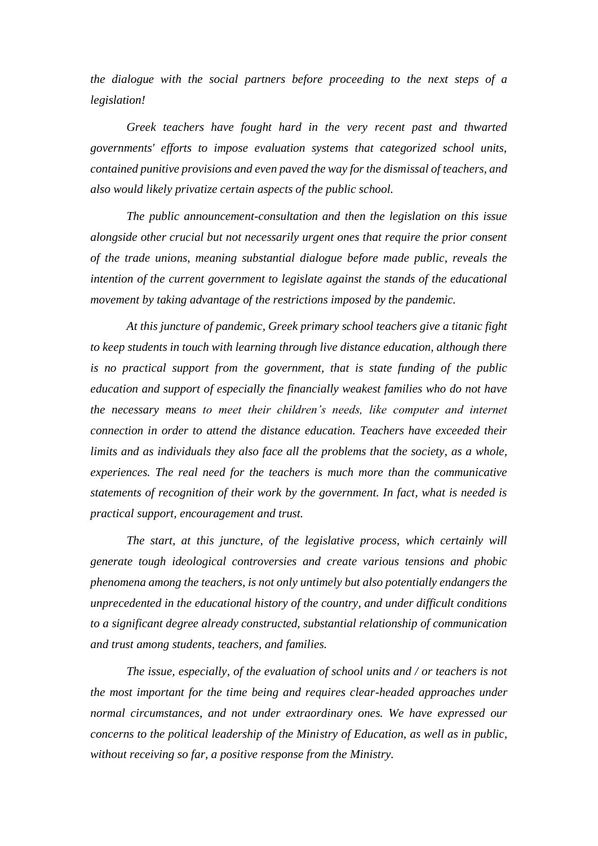*the dialogue with the social partners before proceeding to the next steps of a legislation!*

*Greek teachers have fought hard in the very recent past and thwarted governments' efforts to impose evaluation systems that categorized school units, contained punitive provisions and even paved the way for the dismissal of teachers, and also would likely privatize certain aspects of the public school.*

*The public announcement-consultation and then the legislation on this issue alongside other crucial but not necessarily urgent ones that require the prior consent of the trade unions, meaning substantial dialogue before made public, reveals the intention of the current government to legislate against the stands of the educational movement by taking advantage of the restrictions imposed by the pandemic.*

*At this juncture of pandemic, Greek primary school teachers give a titanic fight to keep students in touch with learning through live distance education, although there is no practical support from the government, that is state funding of the public education and support of especially the financially weakest families who do not have the necessary means to meet their children's needs, like computer and internet connection in order to attend the distance education. Teachers have exceeded their limits and as individuals they also face all the problems that the society, as a whole, experiences. The real need for the teachers is much more than the communicative statements of recognition of their work by the government. In fact, what is needed is practical support, encouragement and trust.*

*The start, at this juncture, of the legislative process, which certainly will generate tough ideological controversies and create various tensions and phobic phenomena among the teachers, is not only untimely but also potentially endangers the unprecedented in the educational history of the country, and under difficult conditions to a significant degree already constructed, substantial relationship of communication and trust among students, teachers, and families.*

*The issue, especially, of the evaluation of school units and / or teachers is not the most important for the time being and requires clear-headed approaches under normal circumstances, and not under extraordinary ones. We have expressed our concerns to the political leadership of the Ministry of Education, as well as in public, without receiving so far, a positive response from the Ministry.*